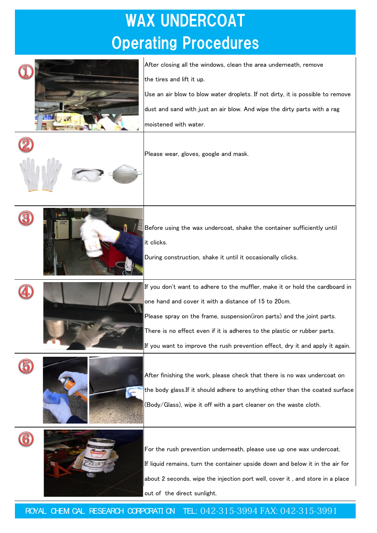## WAX UNDERCOAT Operating Procedures